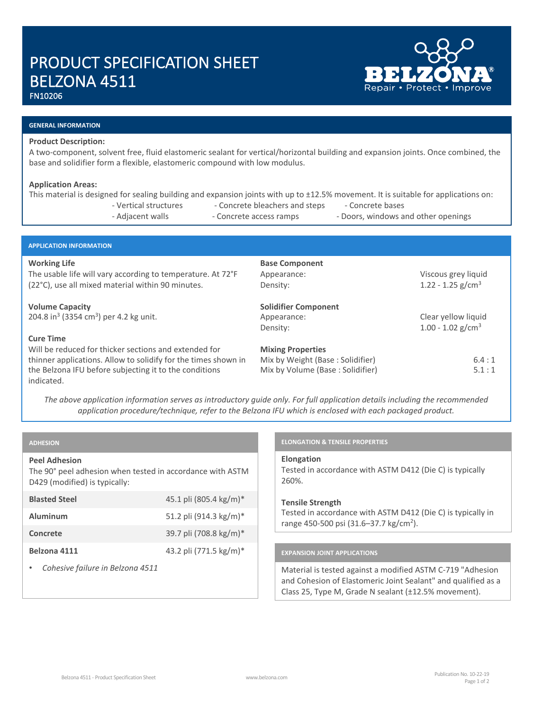# PRODUCT SPECIFICATION SHEET BELZONA 4511

FN10206

# **GENERAL INFORMATION**

## **Product Description:**

A two-component, solvent free, fluid elastomeric sealant for vertical/horizontal building and expansion joints. Once combined, the base and solidifier form a flexible, elastomeric compound with low modulus.

# **Application Areas:**

|                                                                                                                                         | - Vertical structures<br>- Adjacent walls                                                                               | - Concrete bleachers and steps<br>- Concrete access ramps    | This material is designed for sealing building and expansion joints with up to ±12.5% movement. It is suitable for applications on:<br>- Concrete bases<br>- Doors, windows and other openings |       |
|-----------------------------------------------------------------------------------------------------------------------------------------|-------------------------------------------------------------------------------------------------------------------------|--------------------------------------------------------------|------------------------------------------------------------------------------------------------------------------------------------------------------------------------------------------------|-------|
|                                                                                                                                         |                                                                                                                         |                                                              |                                                                                                                                                                                                |       |
| <b>APPLICATION INFORMATION</b>                                                                                                          |                                                                                                                         |                                                              |                                                                                                                                                                                                |       |
| <b>Working Life</b><br>The usable life will vary according to temperature. At 72°F<br>(22°C), use all mixed material within 90 minutes. |                                                                                                                         | <b>Base Component</b><br>Appearance:<br>Density:             | Viscous grey liquid<br>1.22 - 1.25 $g/cm3$                                                                                                                                                     |       |
| <b>Volume Capacity</b><br>204.8 in <sup>3</sup> (3354 cm <sup>3</sup> ) per 4.2 kg unit.                                                |                                                                                                                         | <b>Solidifier Component</b><br>Appearance:<br>Density:       | Clear yellow liquid<br>1.00 - 1.02 $g/cm3$                                                                                                                                                     |       |
| <b>Cure Time</b>                                                                                                                        | Will be reduced for thicker sections and extended for<br>thinner applications. Allow to solidify for the times shown in | <b>Mixing Properties</b><br>Mix by Weight (Base: Solidifier) |                                                                                                                                                                                                | 6.4:1 |

*The above application information serves as introductory guide only. For full application details including the recommended application procedure/technique, refer to the Belzona IFU which is enclosed with each packaged product.*

# **ADHESION**

indicated.

# **Peel Adhesion**

The 90° peel adhesion when tested in accordance with ASTM D429 (modified) is typically:

the Belzona IFU before subjecting it to the conditions

| <b>Blasted Steel</b>             | 45.1 pli (805.4 kg/m)* |  |
|----------------------------------|------------------------|--|
| <b>Aluminum</b>                  | 51.2 pli (914.3 kg/m)* |  |
| Concrete                         | 39.7 pli (708.8 kg/m)* |  |
| Belzona 4111                     | 43.2 pli (771.5 kg/m)* |  |
| Cohesive failure in Relzona 4511 |                        |  |

#### • *Cohesive failure in Belzona 4511*

# **ELONGATION & TENSILE PROPERTIES**

**Elongation** Tested in accordance with ASTM D412 (Die C) is typically 260%.

Mix by Volume (Base : Solidifier) 5.1 : 1

# **Tensile Strength** Tested in accordance with ASTM D412 (Die C) is typically in range 450-500 psi (31.6-37.7 kg/cm<sup>2</sup>).

# **EXPANSION JOINT APPLICATIONS**

Material is tested against a modified ASTM C-719 "Adhesion and Cohesion of Elastomeric Joint Sealant" and qualified as a Class 25, Type M, Grade N sealant (±12.5% movement).